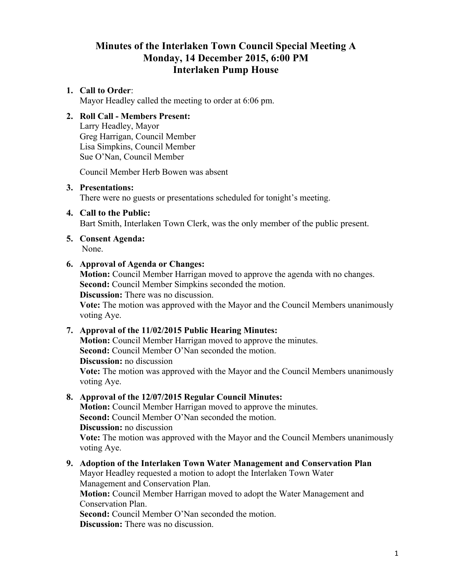# **Minutes of the Interlaken Town Council Special Meeting A Monday, 14 December 2015, 6:00 PM Interlaken Pump House**

## **1. Call to Order**:

Mayor Headley called the meeting to order at 6:06 pm.

# **2. Roll Call - Members Present:**

Larry Headley, Mayor Greg Harrigan, Council Member Lisa Simpkins, Council Member Sue O'Nan, Council Member

Council Member Herb Bowen was absent

#### **3. Presentations:**

There were no guests or presentations scheduled for tonight's meeting.

### **4. Call to the Public:**

Bart Smith, Interlaken Town Clerk, was the only member of the public present.

# **5. Consent Agenda:**

None.

### **6. Approval of Agenda or Changes:**

**Motion:** Council Member Harrigan moved to approve the agenda with no changes. **Second:** Council Member Simpkins seconded the motion.

**Discussion:** There was no discussion.

**Vote:** The motion was approved with the Mayor and the Council Members unanimously voting Aye.

# **7. Approval of the 11/02/2015 Public Hearing Minutes:**

**Motion:** Council Member Harrigan moved to approve the minutes. **Second:** Council Member O'Nan seconded the motion. **Discussion:** no discussion **Vote:** The motion was approved with the Mayor and the Council Members unanimously voting Aye.

### **8. Approval of the 12/07/2015 Regular Council Minutes:**

**Motion:** Council Member Harrigan moved to approve the minutes. **Second:** Council Member O'Nan seconded the motion. **Discussion:** no discussion **Vote:** The motion was approved with the Mayor and the Council Members unanimously voting Aye.

# **9. Adoption of the Interlaken Town Water Management and Conservation Plan**

Mayor Headley requested a motion to adopt the Interlaken Town Water Management and Conservation Plan.

**Motion:** Council Member Harrigan moved to adopt the Water Management and Conservation Plan.

**Second:** Council Member O'Nan seconded the motion.

**Discussion:** There was no discussion.